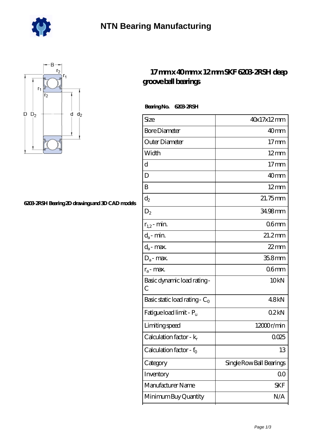



## **[6203-2RSH Bearing 2D drawings and 3D CAD models](https://gites-sainte-jalle.com/pic-463988.html)**

## **[17 mm x 40 mm x 12 mm SKF 6203-2RSH deep](https://gites-sainte-jalle.com/skf-6203-2rsh-bearing/) [groove ball bearings](https://gites-sainte-jalle.com/skf-6203-2rsh-bearing/)**

 **Bearing No. 6203-2RSH**

| Size                                | 40x17x12mm               |
|-------------------------------------|--------------------------|
| <b>Bore Diameter</b>                | 40 <sub>mm</sub>         |
| Outer Diameter                      | $17$ mm                  |
| Width                               | $12 \text{mm}$           |
| d                                   | $17 \text{mm}$           |
| D                                   | 40 <sub>mm</sub>         |
| B                                   | $12 \text{mm}$           |
| $\mathrm{d}_2$                      | 21.75mm                  |
| $D_2$                               | 34.98mm                  |
| $r_{1,2}$ - min.                    | 06mm                     |
| $d_a$ - min.                        | $21.2$ mm                |
| $d_a$ - max.                        | $22$ mm                  |
| $D_a$ - max.                        | 35.8mm                   |
| $r_a$ - max.                        | 06mm                     |
| Basic dynamic load rating -<br>C    | 10 <sub>kN</sub>         |
| Basic static load rating - $C_0$    | 48kN                     |
| Fatigue load limit - P <sub>u</sub> | 02kN                     |
| Limiting speed                      | $12000$ r/min            |
| Calculation factor - $k_r$          | 0025                     |
| Calculation factor - $f_0$          | 13                       |
| Category                            | Single Row Ball Bearings |
| Inventory                           | 0 <sup>0</sup>           |
| Manufacturer Name                   | SKF                      |
| Minimum Buy Quantity                | N/A                      |
|                                     |                          |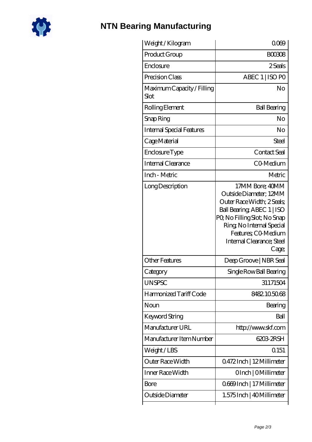

## **[NTN Bearing Manufacturing](https://gites-sainte-jalle.com)**

| Weight /Kilogram                   | 0000                                                                                                                                                                                                                           |
|------------------------------------|--------------------------------------------------------------------------------------------------------------------------------------------------------------------------------------------------------------------------------|
| Product Group                      | <b>BOO308</b>                                                                                                                                                                                                                  |
| Enclosure                          | 2 Seals                                                                                                                                                                                                                        |
| Precision Class                    | ABEC 1   ISO PO                                                                                                                                                                                                                |
| Maximum Capacity / Filling<br>Slot | No                                                                                                                                                                                                                             |
| Rolling Element                    | <b>Ball Bearing</b>                                                                                                                                                                                                            |
| Snap Ring                          | No                                                                                                                                                                                                                             |
| <b>Internal Special Features</b>   | No                                                                                                                                                                                                                             |
| Cage Material                      | Steel                                                                                                                                                                                                                          |
| Enclosure Type                     | Contact Seal                                                                                                                                                                                                                   |
| Internal Clearance                 | CO-Medium                                                                                                                                                                                                                      |
| Inch - Metric                      | Metric                                                                                                                                                                                                                         |
| Long Description                   | 17MM Bore; 40MM<br>Outside Diameter; 12MM<br>Outer Race Width; 2 Seals;<br>Ball Bearing, ABEC 1   ISO<br>PQ No Filling Slot; No Snap<br>Ring, No Internal Special<br>Features; CO-Medium<br>Internal Clearance; Steel<br>Cage; |
| <b>Other Features</b>              | Deep Groove   NBR Seal                                                                                                                                                                                                         |
| Category                           | Single Row Ball Bearing                                                                                                                                                                                                        |
| <b>UNSPSC</b>                      | 31171504                                                                                                                                                                                                                       |
| Harmonized Tariff Code             | 8482.105068                                                                                                                                                                                                                    |
| Noun                               | Bearing                                                                                                                                                                                                                        |
| Keyword String                     | Ball                                                                                                                                                                                                                           |
| Manufacturer URL                   | http://www.skf.com                                                                                                                                                                                                             |
| Manufacturer Item Number           | 6203-2RSH                                                                                                                                                                                                                      |
| Weight/LBS                         | Q151                                                                                                                                                                                                                           |
| Outer Race Width                   | 0.472Inch   12Millimeter                                                                                                                                                                                                       |
| Inner Race Width                   | OInch   OMillimeter                                                                                                                                                                                                            |
| Bore                               | 0669Inch   17 Millimeter                                                                                                                                                                                                       |
| Outside Diameter                   | 1.575 Inch   40 Millimeter                                                                                                                                                                                                     |
|                                    |                                                                                                                                                                                                                                |